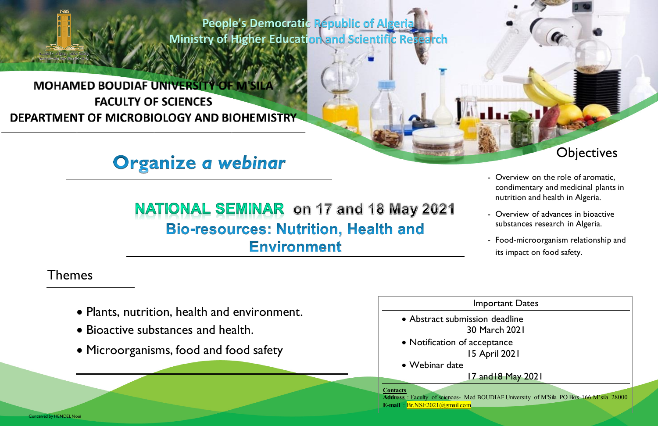**People's Democratic Republic of Algeria Ministry of Higher Education and Scientific Research**

# **MOHAMED BOUDIAF UNIVERSITY OF M'SILA FACULTY OF SCIENCES** DEPARTMENT OF MICROBIOLOGY AND BIOHEMISTRY

# Organize a webinar

# NATIONAL SEMINAR on 17 and 18 May 2021 **Bio-resources: Nutrition, Health and Environment**

- Plants, nutrition, health and environment.
- Bioactive substances and health.
- Microorganisms, food and food safety

Themes

#### Important Dates

 Abstract submission deadline 30 March 2021 Notification of acceptance 15 April 2021

Webinar date

#### 17 and18 May 2021

**Contacts** 

**Address** : Faculty of sciences- Med BOUDIAF University of M'Sila PO Box 166 M'sila 28000

**E-mail** [: Br.NSE2021@gmail.com](mailto:Br.NSE2021@gmail.com) 



- Overview on the role of aromatic, condimentary and medicinal plants in nutrition and health in Algeria.
- Overview of advances in bioactive substances research in Algeria.
- Food-microorganism relationship and its impact on food safety.